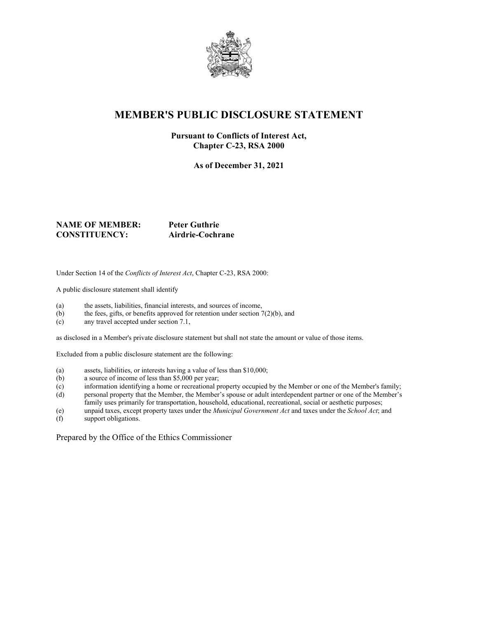

## **MEMBER'S PUBLIC DISCLOSURE STATEMENT**

#### **Pursuant to Conflicts of Interest Act, Chapter C-23, RSA 2000**

**As of December 31, 2021**

### **NAME OF MEMBER: Peter Guthrie CONSTITUENCY: Airdrie-Cochrane**

Under Section 14 of the *Conflicts of Interest Act*, Chapter C-23, RSA 2000:

A public disclosure statement shall identify

- (a) the assets, liabilities, financial interests, and sources of income,
- (b) the fees, gifts, or benefits approved for retention under section  $7(2)(b)$ , and
- (c) any travel accepted under section 7.1,

as disclosed in a Member's private disclosure statement but shall not state the amount or value of those items.

Excluded from a public disclosure statement are the following:

- (a) assets, liabilities, or interests having a value of less than \$10,000;
- (b) a source of income of less than \$5,000 per year;
- (c) information identifying a home or recreational property occupied by the Member or one of the Member's family;
- (d) personal property that the Member, the Member's spouse or adult interdependent partner or one of the Member's family uses primarily for transportation, household, educational, recreational, social or aesthetic purposes;
- (e) unpaid taxes, except property taxes under the *Municipal Government Act* and taxes under the *School Act*; and
- support obligations.

Prepared by the Office of the Ethics Commissioner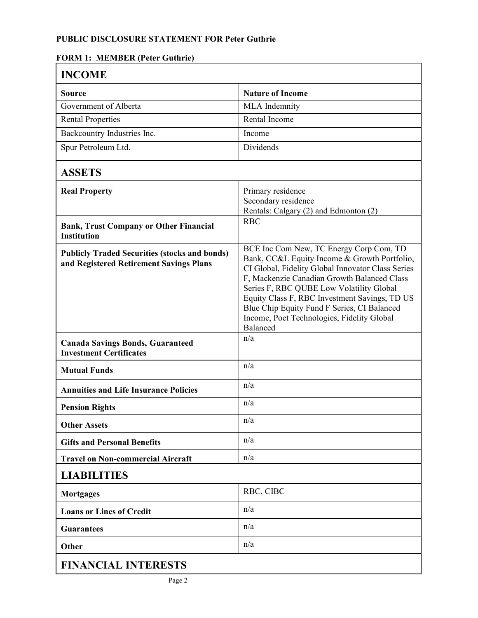# **PUBLIC DISCLOSURE STATEMENT FOR Peter Guthrie**

### **FORM 1: MEMBER (Peter Guthrie)**

| <b>INCOME</b>                                                                                   |                                                                                                                                                                                                                                                                                                                                                                                                   |
|-------------------------------------------------------------------------------------------------|---------------------------------------------------------------------------------------------------------------------------------------------------------------------------------------------------------------------------------------------------------------------------------------------------------------------------------------------------------------------------------------------------|
| Source                                                                                          | <b>Nature of Income</b>                                                                                                                                                                                                                                                                                                                                                                           |
| Government of Alberta                                                                           | <b>MLA</b> Indemnity                                                                                                                                                                                                                                                                                                                                                                              |
| <b>Rental Properties</b>                                                                        | Rental Income                                                                                                                                                                                                                                                                                                                                                                                     |
| Backcountry Industries Inc.                                                                     | Income                                                                                                                                                                                                                                                                                                                                                                                            |
| Spur Petroleum Ltd.                                                                             | Dividends                                                                                                                                                                                                                                                                                                                                                                                         |
| <b>ASSETS</b>                                                                                   |                                                                                                                                                                                                                                                                                                                                                                                                   |
| <b>Real Property</b>                                                                            | Primary residence<br>Secondary residence<br>Rentals: Calgary (2) and Edmonton (2)                                                                                                                                                                                                                                                                                                                 |
| <b>Bank, Trust Company or Other Financial</b><br><b>Institution</b>                             | <b>RBC</b>                                                                                                                                                                                                                                                                                                                                                                                        |
| <b>Publicly Traded Securities (stocks and bonds)</b><br>and Registered Retirement Savings Plans | BCE Inc Com New, TC Energy Corp Com, TD<br>Bank, CC&L Equity Income & Growth Portfolio,<br>CI Global, Fidelity Global Innovator Class Series<br>F, Mackenzie Canadian Growth Balanced Class<br>Series F, RBC QUBE Low Volatility Global<br>Equity Class F, RBC Investment Savings, TD US<br>Blue Chip Equity Fund F Series, CI Balanced<br>Income, Poet Technologies, Fidelity Global<br>Balanced |
| <b>Canada Savings Bonds, Guaranteed</b><br><b>Investment Certificates</b>                       | n/a                                                                                                                                                                                                                                                                                                                                                                                               |
| <b>Mutual Funds</b>                                                                             | n/a                                                                                                                                                                                                                                                                                                                                                                                               |
| <b>Annuities and Life Insurance Policies</b>                                                    | n/a                                                                                                                                                                                                                                                                                                                                                                                               |
| <b>Pension Rights</b>                                                                           | n/a                                                                                                                                                                                                                                                                                                                                                                                               |
| <b>Other Assets</b>                                                                             | n/a                                                                                                                                                                                                                                                                                                                                                                                               |
| <b>Gifts and Personal Benefits</b>                                                              | n/a                                                                                                                                                                                                                                                                                                                                                                                               |
| <b>Travel on Non-commercial Aircraft</b>                                                        | n/a                                                                                                                                                                                                                                                                                                                                                                                               |
| <b>LIABILITIES</b>                                                                              |                                                                                                                                                                                                                                                                                                                                                                                                   |
| <b>Mortgages</b>                                                                                | RBC, CIBC                                                                                                                                                                                                                                                                                                                                                                                         |
| <b>Loans or Lines of Credit</b>                                                                 | n/a                                                                                                                                                                                                                                                                                                                                                                                               |
| <b>Guarantees</b>                                                                               | n/a                                                                                                                                                                                                                                                                                                                                                                                               |
| Other                                                                                           | n/a                                                                                                                                                                                                                                                                                                                                                                                               |
| <b>FINANCIAL INTERESTS</b>                                                                      |                                                                                                                                                                                                                                                                                                                                                                                                   |